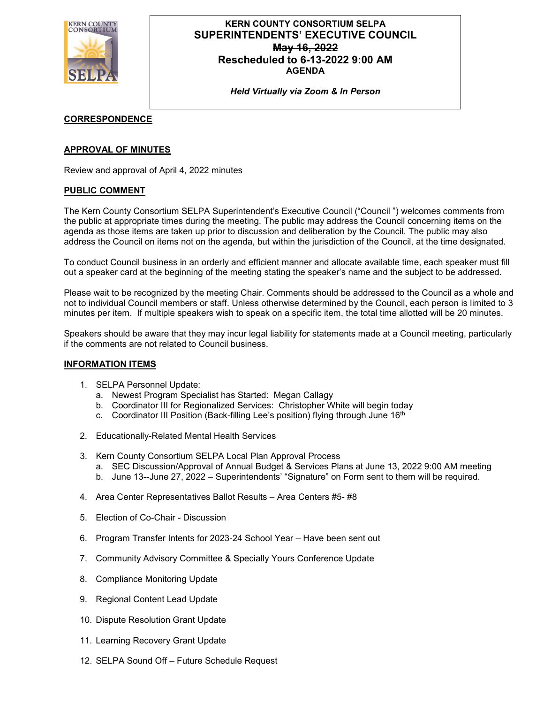

# **KERN COUNTY CONSORTIUM SELPA SUPERINTENDENTS' EXECUTIVE COUNCIL May 16, 2022 Rescheduled to 6-13-2022 9:00 AM AGENDA**

*Held Virtually via Zoom & In Person*

# **CORRESPONDENCE**

# **APPROVAL OF MINUTES**

Review and approval of April 4, 2022 minutes

#### **PUBLIC COMMENT**

The Kern County Consortium SELPA Superintendent's Executive Council ("Council ") welcomes comments from the public at appropriate times during the meeting. The public may address the Council concerning items on the agenda as those items are taken up prior to discussion and deliberation by the Council. The public may also address the Council on items not on the agenda, but within the jurisdiction of the Council, at the time designated.

To conduct Council business in an orderly and efficient manner and allocate available time, each speaker must fill out a speaker card at the beginning of the meeting stating the speaker's name and the subject to be addressed.

Please wait to be recognized by the meeting Chair. Comments should be addressed to the Council as a whole and not to individual Council members or staff. Unless otherwise determined by the Council, each person is limited to 3 minutes per item. If multiple speakers wish to speak on a specific item, the total time allotted will be 20 minutes.

Speakers should be aware that they may incur legal liability for statements made at a Council meeting, particularly if the comments are not related to Council business.

#### **INFORMATION ITEMS**

- 1. SELPA Personnel Update:
	- a. Newest Program Specialist has Started: Megan Callagy
	- b. Coordinator III for Regionalized Services: Christopher White will begin today
	- c. Coordinator III Position (Back-filling Lee's position) flying through June 16<sup>th</sup>
- 2. Educationally-Related Mental Health Services
- 3. Kern County Consortium SELPA Local Plan Approval Process
	- a. SEC Discussion/Approval of Annual Budget & Services Plans at June 13, 2022 9:00 AM meeting
	- b. June 13--June 27, 2022 Superintendents' "Signature" on Form sent to them will be required.
- 4. Area Center Representatives Ballot Results Area Centers #5- #8
- 5. Election of Co-Chair Discussion
- 6. Program Transfer Intents for 2023-24 School Year Have been sent out
- 7. Community Advisory Committee & Specially Yours Conference Update
- 8. Compliance Monitoring Update
- 9. Regional Content Lead Update
- 10. Dispute Resolution Grant Update
- 11. Learning Recovery Grant Update
- 12. SELPA Sound Off Future Schedule Request